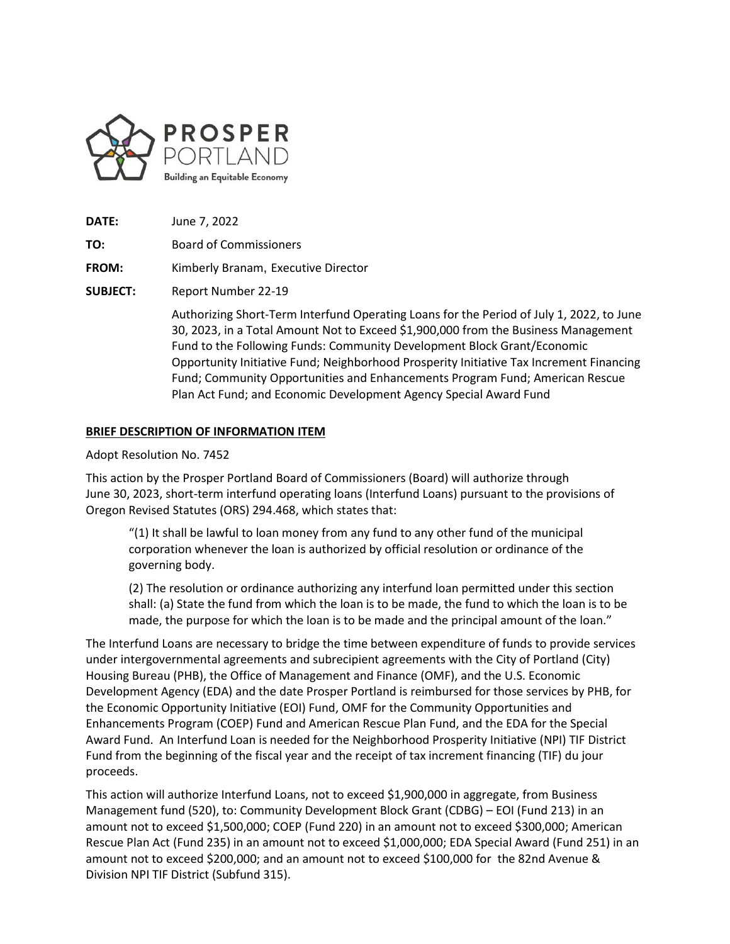

- **DATE:** June 7, 2022
- **TO:** Board of Commissioners

**FROM:** Kimberly Branam, Executive Director

**SUBJECT:** Report Number 22-19

Authorizing Short-Term Interfund Operating Loans for the Period of July 1, 2022, to June 30, 2023, in a Total Amount Not to Exceed \$1,900,000 from the Business Management Fund to the Following Funds: Community Development Block Grant/Economic Opportunity Initiative Fund; Neighborhood Prosperity Initiative Tax Increment Financing Fund; Community Opportunities and Enhancements Program Fund; American Rescue Plan Act Fund; and Economic Development Agency Special Award Fund

### **BRIEF DESCRIPTION OF INFORMATION ITEM**

#### Adopt Resolution No. 7452

This action by the Prosper Portland Board of Commissioners (Board) will authorize through June 30, 2023, short-term interfund operating loans (Interfund Loans) pursuant to the provisions of Oregon Revised Statutes (ORS) 294.468, which states that:

"(1) It shall be lawful to loan money from any fund to any other fund of the municipal corporation whenever the loan is authorized by official resolution or ordinance of the governing body.

(2) The resolution or ordinance authorizing any interfund loan permitted under this section shall: (a) State the fund from which the loan is to be made, the fund to which the loan is to be made, the purpose for which the loan is to be made and the principal amount of the loan."

The Interfund Loans are necessary to bridge the time between expenditure of funds to provide services under intergovernmental agreements and subrecipient agreements with the City of Portland (City) Housing Bureau (PHB), the Office of Management and Finance (OMF), and the U.S. Economic Development Agency (EDA) and the date Prosper Portland is reimbursed for those services by PHB, for the Economic Opportunity Initiative (EOI) Fund, OMF for the Community Opportunities and Enhancements Program (COEP) Fund and American Rescue Plan Fund, and the EDA for the Special Award Fund. An Interfund Loan is needed for the Neighborhood Prosperity Initiative (NPI) TIF District Fund from the beginning of the fiscal year and the receipt of tax increment financing (TIF) du jour proceeds.

This action will authorize Interfund Loans, not to exceed \$1,900,000 in aggregate, from Business Management fund (520), to: Community Development Block Grant (CDBG) – EOI (Fund 213) in an amount not to exceed \$1,500,000; COEP (Fund 220) in an amount not to exceed \$300,000; American Rescue Plan Act (Fund 235) in an amount not to exceed \$1,000,000; EDA Special Award (Fund 251) in an amount not to exceed \$200,000; and an amount not to exceed \$100,000 for the 82nd Avenue & Division NPI TIF District (Subfund 315).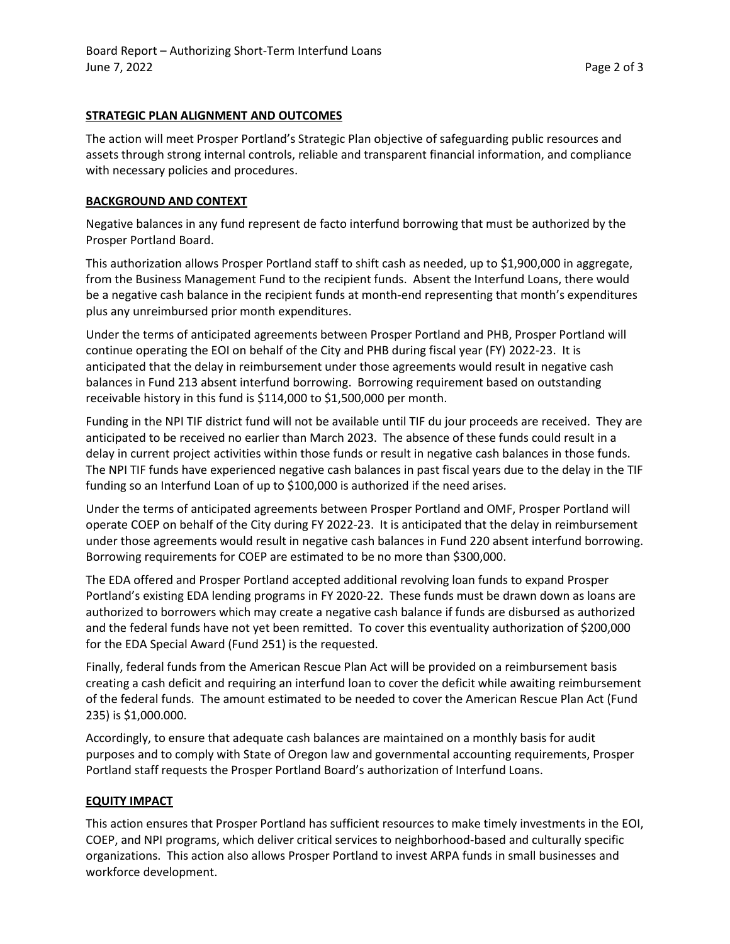### **STRATEGIC PLAN ALIGNMENT AND OUTCOMES**

The action will meet Prosper Portland's Strategic Plan objective of safeguarding public resources and assets through strong internal controls, reliable and transparent financial information, and compliance with necessary policies and procedures.

## **BACKGROUND AND CONTEXT**

Negative balances in any fund represent de facto interfund borrowing that must be authorized by the Prosper Portland Board.

This authorization allows Prosper Portland staff to shift cash as needed, up to \$1,900,000 in aggregate, from the Business Management Fund to the recipient funds. Absent the Interfund Loans, there would be a negative cash balance in the recipient funds at month-end representing that month's expenditures plus any unreimbursed prior month expenditures.

Under the terms of anticipated agreements between Prosper Portland and PHB, Prosper Portland will continue operating the EOI on behalf of the City and PHB during fiscal year (FY) 2022-23. It is anticipated that the delay in reimbursement under those agreements would result in negative cash balances in Fund 213 absent interfund borrowing. Borrowing requirement based on outstanding receivable history in this fund is \$114,000 to \$1,500,000 per month.

Funding in the NPI TIF district fund will not be available until TIF du jour proceeds are received. They are anticipated to be received no earlier than March 2023. The absence of these funds could result in a delay in current project activities within those funds or result in negative cash balances in those funds. The NPI TIF funds have experienced negative cash balances in past fiscal years due to the delay in the TIF funding so an Interfund Loan of up to \$100,000 is authorized if the need arises.

Under the terms of anticipated agreements between Prosper Portland and OMF, Prosper Portland will operate COEP on behalf of the City during FY 2022-23. It is anticipated that the delay in reimbursement under those agreements would result in negative cash balances in Fund 220 absent interfund borrowing. Borrowing requirements for COEP are estimated to be no more than \$300,000.

The EDA offered and Prosper Portland accepted additional revolving loan funds to expand Prosper Portland's existing EDA lending programs in FY 2020-22. These funds must be drawn down as loans are authorized to borrowers which may create a negative cash balance if funds are disbursed as authorized and the federal funds have not yet been remitted. To cover this eventuality authorization of \$200,000 for the EDA Special Award (Fund 251) is the requested.

Finally, federal funds from the American Rescue Plan Act will be provided on a reimbursement basis creating a cash deficit and requiring an interfund loan to cover the deficit while awaiting reimbursement of the federal funds. The amount estimated to be needed to cover the American Rescue Plan Act (Fund 235) is \$1,000.000.

Accordingly, to ensure that adequate cash balances are maintained on a monthly basis for audit purposes and to comply with State of Oregon law and governmental accounting requirements, Prosper Portland staff requests the Prosper Portland Board's authorization of Interfund Loans.

# **EQUITY IMPACT**

This action ensures that Prosper Portland has sufficient resources to make timely investments in the EOI, COEP, and NPI programs, which deliver critical services to neighborhood-based and culturally specific organizations. This action also allows Prosper Portland to invest ARPA funds in small businesses and workforce development.